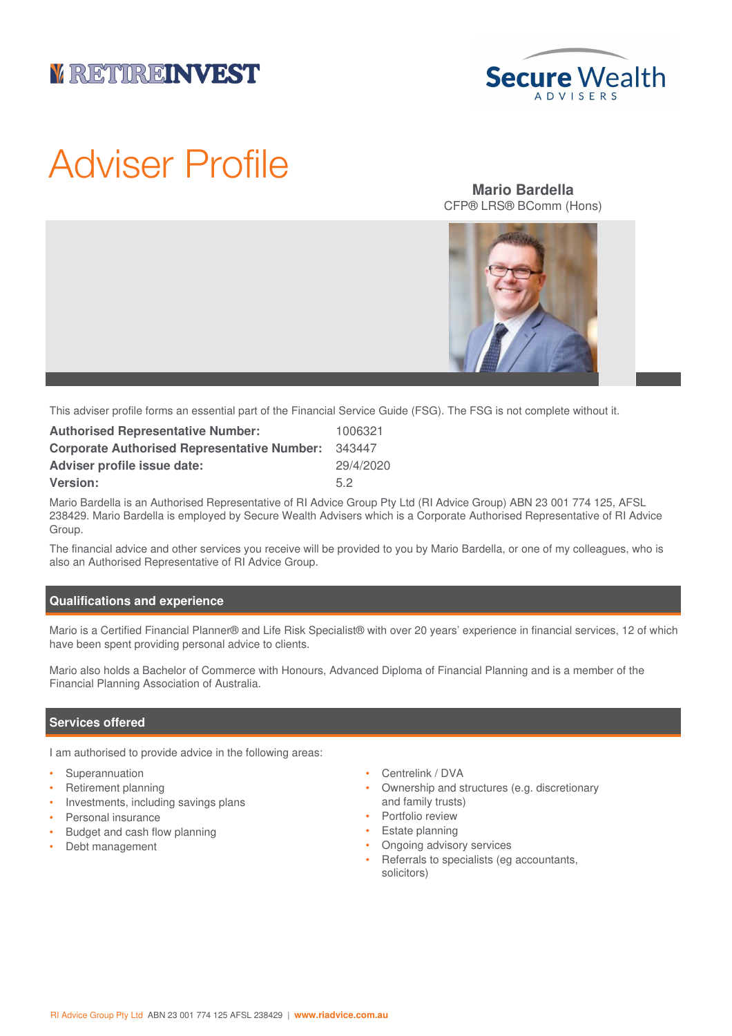# **V RETUREINVEST**



# Adviser Profile

## **Mario Bardella** CFP® LRS® BComm (Hons)



This adviser profile forms an essential part of the Financial Service Guide (FSG). The FSG is not complete without it.

| <b>Authorised Representative Number:</b>           | 1006321   |
|----------------------------------------------------|-----------|
| <b>Corporate Authorised Representative Number:</b> | 343447    |
| <b>Adviser profile issue date:</b>                 | 29/4/2020 |
| <b>Version:</b>                                    | 52        |

Mario Bardella is an Authorised Representative of RI Advice Group Pty Ltd (RI Advice Group) ABN 23 001 774 125, AFSL 238429. Mario Bardella is employed by Secure Wealth Advisers which is a Corporate Authorised Representative of RI Advice Group.

The financial advice and other services you receive will be provided to you by Mario Bardella, or one of my colleagues, who is also an Authorised Representative of RI Advice Group.

#### **Qualifications and experience**

Mario is a Certified Financial Planner® and Life Risk Specialist® with over 20 years' experience in financial services, 12 of which have been spent providing personal advice to clients.

Mario also holds a Bachelor of Commerce with Honours, Advanced Diploma of Financial Planning and is a member of the Financial Planning Association of Australia.

#### **Services offered**

I am authorised to provide advice in the following areas:

- **Superannuation**
- Retirement planning
- Investments, including savings plans
- Personal insurance
- Budget and cash flow planning
- Debt management
- Centrelink / DVA
- Ownership and structures (e.g. discretionary and family trusts)
- Portfolio review
- Estate planning
- Ongoing advisory services
- Referrals to specialists (eg accountants, solicitors)